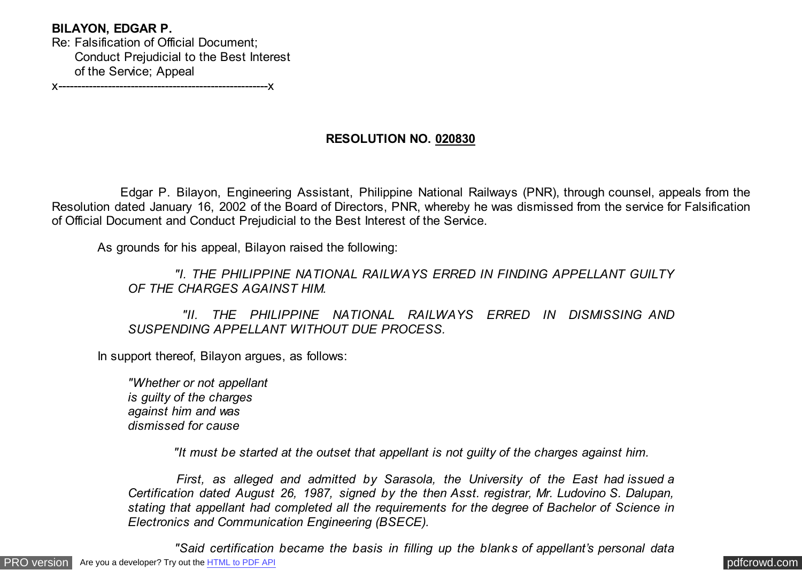# **BILAYON, EDGAR P.**

Re: Falsification of Official Document; Conduct Prejudicial to the Best Interest of the Service; Appeal

x-------------------------------------------------------x

# **RESOLUTION NO. 020830**

 Edgar P. Bilayon, Engineering Assistant, Philippine National Railways (PNR), through counsel, appeals from the Resolution dated January 16, 2002 of the Board of Directors, PNR, whereby he was dismissed from the service for Falsification of Official Document and Conduct Prejudicial to the Best Interest of the Service.

As grounds for his appeal, Bilayon raised the following:

 *"I. THE PHILIPPINE NATIONAL RAILWAYS ERRED IN FINDING APPELLANT GUILTY OF THE CHARGES AGAINST HIM.*

 *"II. THE PHILIPPINE NATIONAL RAILWAYS ERRED IN DISMISSING AND SUSPENDING APPELLANT WITHOUT DUE PROCESS.*

In support thereof, Bilayon argues, as follows:

*"Whether or not appellant is guilty of the charges against him and was dismissed for cause*

 *"It must be started at the outset that appellant is not guilty of the charges against him.*

 *First, as alleged and admitted by Sarasola, the University of the East had issued a Certification dated August 26, 1987, signed by the then Asst. registrar, Mr. Ludovino S. Dalupan, stating that appellant had completed all the requirements for the degree of Bachelor of Science in Electronics and Communication Engineering (BSECE).*

[PRO version](http://pdfcrowd.com/customize/) Are you a developer? Try out th[e HTML to PDF API](http://pdfcrowd.com/html-to-pdf-api/?ref=pdf) process and the example of the HTML to PDF API [pdfcrowd.com](http://pdfcrowd.com)  *"Said certification became the basis in filling up the blanks of appellant's personal data*

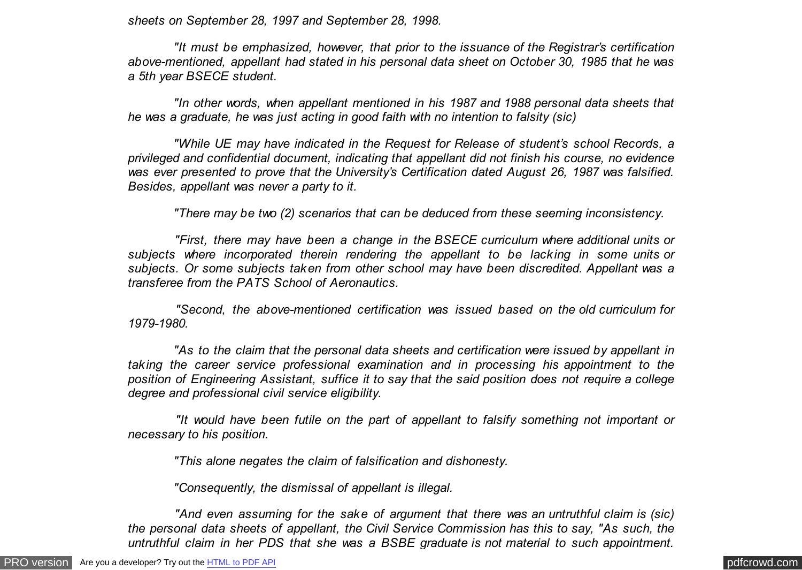*sheets on September 28, 1997 and September 28, 1998.*

 *"It must be emphasized, however, that prior to the issuance of the Registrar's certification above-mentioned, appellant had stated in his personal data sheet on October 30, 1985 that he was a 5th year BSECE student.*

 *"In other words, when appellant mentioned in his 1987 and 1988 personal data sheets that he was a graduate, he was just acting in good faith with no intention to falsity (sic)*

 *"While UE may have indicated in the Request for Release of student's school Records, a privileged and confidential document, indicating that appellant did not finish his course, no evidence was ever presented to prove that the University's Certification dated August 26, 1987 was falsified. Besides, appellant was never a party to it.*

 *"There may be two (2) scenarios that can be deduced from these seeming inconsistency.*

 *"First, there may have been a change in the BSECE curriculum where additional units or subjects where incorporated therein rendering the appellant to be lacking in some units or subjects. Or some subjects taken from other school may have been discredited. Appellant was a transferee from the PATS School of Aeronautics.*

 *"Second, the above-mentioned certification was issued based on the old curriculum for 1979-1980.*

 *"As to the claim that the personal data sheets and certification were issued by appellant in taking the career service professional examination and in processing his appointment to the position of Engineering Assistant, suffice it to say that the said position does not require a college degree and professional civil service eligibility.*

 *"It would have been futile on the part of appellant to falsify something not important or necessary to his position.*

 *"This alone negates the claim of falsification and dishonesty.*

 *"Consequently, the dismissal of appellant is illegal.*

 *"And even assuming for the sake of argument that there was an untruthful claim is (sic) the personal data sheets of appellant, the Civil Service Commission has this to say, "As such, the untruthful claim in her PDS that she was a BSBE graduate is not material to such appointment.*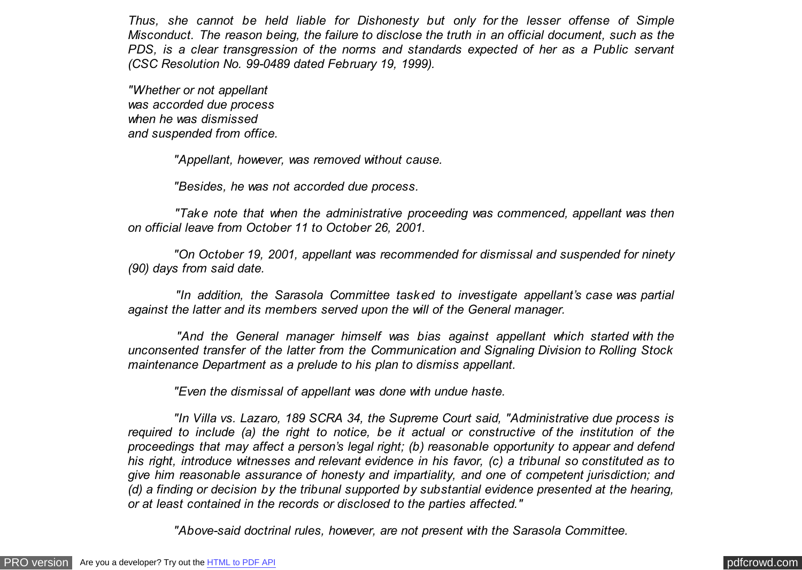*Thus, she cannot be held liable for Dishonesty but only for the lesser offense of Simple Misconduct. The reason being, the failure to disclose the truth in an official document, such as the PDS, is a clear transgression of the norms and standards expected of her as a Public servant (CSC Resolution No. 99-0489 dated February 19, 1999).*

*"Whether or not appellant was accorded due process when he was dismissed and suspended from office.*

 *"Appellant, however, was removed without cause.*

 *"Besides, he was not accorded due process.*

 *"Take note that when the administrative proceeding was commenced, appellant was then on official leave from October 11 to October 26, 2001.*

 *"On October 19, 2001, appellant was recommended for dismissal and suspended for ninety (90) days from said date.*

 *"In addition, the Sarasola Committee tasked to investigate appellant's case was partial against the latter and its members served upon the will of the General manager.*

 *"And the General manager himself was bias against appellant which started with the unconsented transfer of the latter from the Communication and Signaling Division to Rolling Stock maintenance Department as a prelude to his plan to dismiss appellant.*

 *"Even the dismissal of appellant was done with undue haste.*

 *"In Villa vs. Lazaro, 189 SCRA 34, the Supreme Court said, "Administrative due process is required to include (a) the right to notice, be it actual or constructive of the institution of the proceedings that may affect a person's legal right; (b) reasonable opportunity to appear and defend his right, introduce witnesses and relevant evidence in his favor, (c) a tribunal so constituted as to give him reasonable assurance of honesty and impartiality, and one of competent jurisdiction; and (d) a finding or decision by the tribunal supported by substantial evidence presented at the hearing, or at least contained in the records or disclosed to the parties affected."*

 *"Above-said doctrinal rules, however, are not present with the Sarasola Committee.*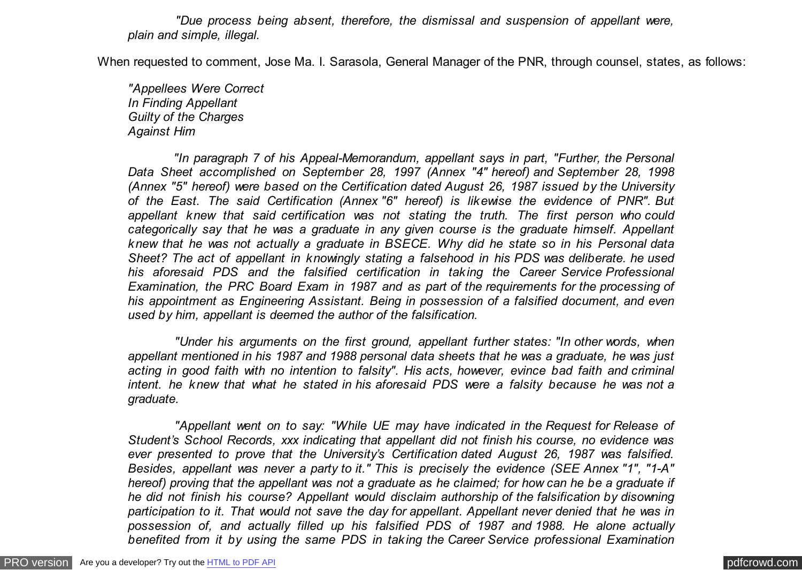*"Due process being absent, therefore, the dismissal and suspension of appellant were, plain and simple, illegal.*

When requested to comment, Jose Ma. I. Sarasola, General Manager of the PNR, through counsel, states, as follows:

*"Appellees Were Correct In Finding Appellant Guilty of the Charges Against Him*

 *"In paragraph 7 of his Appeal-Memorandum, appellant says in part, "Further, the Personal Data Sheet accomplished on September 28, 1997 (Annex "4" hereof) and September 28, 1998 (Annex "5" hereof) were based on the Certification dated August 26, 1987 issued by the University of the East. The said Certification (Annex "6" hereof) is likewise the evidence of PNR". But appellant knew that said certification was not stating the truth. The first person who could categorically say that he was a graduate in any given course is the graduate himself. Appellant knew that he was not actually a graduate in BSECE. Why did he state so in his Personal data Sheet? The act of appellant in knowingly stating a falsehood in his PDS was deliberate. he used his aforesaid PDS and the falsified certification in taking the Career Service Professional Examination, the PRC Board Exam in 1987 and as part of the requirements for the processing of his appointment as Engineering Assistant. Being in possession of a falsified document, and even used by him, appellant is deemed the author of the falsification.*

 *"Under his arguments on the first ground, appellant further states: "In other words, when appellant mentioned in his 1987 and 1988 personal data sheets that he was a graduate, he was just acting in good faith with no intention to falsity". His acts, however, evince bad faith and criminal intent. he knew that what he stated in his aforesaid PDS were a falsity because he was not a graduate.*

 *"Appellant went on to say: "While UE may have indicated in the Request for Release of Student's School Records, xxx indicating that appellant did not finish his course, no evidence was ever presented to prove that the University's Certification dated August 26, 1987 was falsified. Besides, appellant was never a party to it." This is precisely the evidence (SEE Annex "1", "1-A" hereof) proving that the appellant was not a graduate as he claimed; for how can he be a graduate if he did not finish his course? Appellant would disclaim authorship of the falsification by disowning participation to it. That would not save the day for appellant. Appellant never denied that he was in possession of, and actually filled up his falsified PDS of 1987 and 1988. He alone actually benefited from it by using the same PDS in taking the Career Service professional Examination*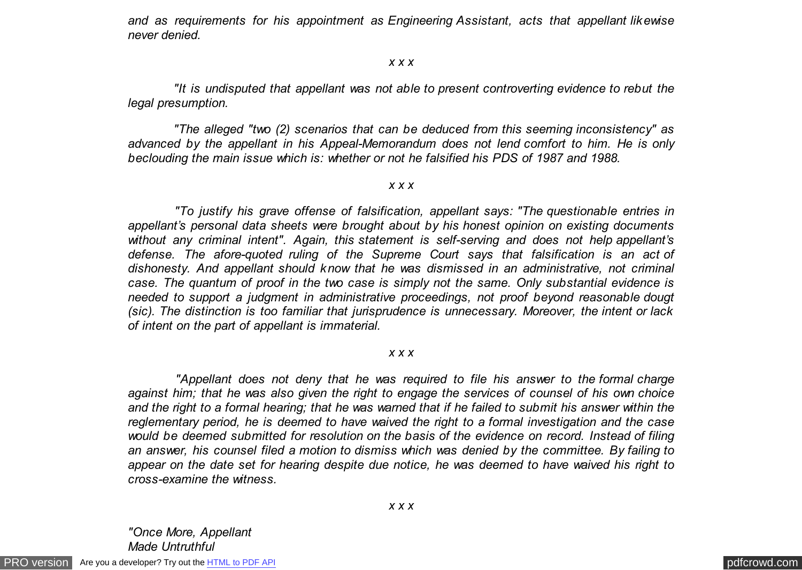*and as requirements for his appointment as Engineering Assistant, acts that appellant likewise never denied.*

#### *x x x*

 *"It is undisputed that appellant was not able to present controverting evidence to rebut the legal presumption.*

 *"The alleged "two (2) scenarios that can be deduced from this seeming inconsistency" as advanced by the appellant in his Appeal-Memorandum does not lend comfort to him. He is only beclouding the main issue which is: whether or not he falsified his PDS of 1987 and 1988.*

## *x x x*

 *"To justify his grave offense of falsification, appellant says: "The questionable entries in appellant's personal data sheets were brought about by his honest opinion on existing documents without any criminal intent". Again, this statement is self-serving and does not help appellant's defense. The afore-quoted ruling of the Supreme Court says that falsification is an act of dishonesty. And appellant should know that he was dismissed in an administrative, not criminal case. The quantum of proof in the two case is simply not the same. Only substantial evidence is needed to support a judgment in administrative proceedings, not proof beyond reasonable dougt (sic). The distinction is too familiar that jurisprudence is unnecessary. Moreover, the intent or lack of intent on the part of appellant is immaterial.*

## *x x x*

 *"Appellant does not deny that he was required to file his answer to the formal charge against him; that he was also given the right to engage the services of counsel of his own choice and the right to a formal hearing; that he was warned that if he failed to submit his answer within the reglementary period, he is deemed to have waived the right to a formal investigation and the case would be deemed submitted for resolution on the basis of the evidence on record. Instead of filing an answer, his counsel filed a motion to dismiss which was denied by the committee. By failing to appear on the date set for hearing despite due notice, he was deemed to have waived his right to cross-examine the witness.*

*"Once More, Appellant Made Untruthful*

[PRO version](http://pdfcrowd.com/customize/) Are you a developer? Try out th[e HTML to PDF API](http://pdfcrowd.com/html-to-pdf-api/?ref=pdf) contract the contract of the HTML to PDF API [pdfcrowd.com](http://pdfcrowd.com)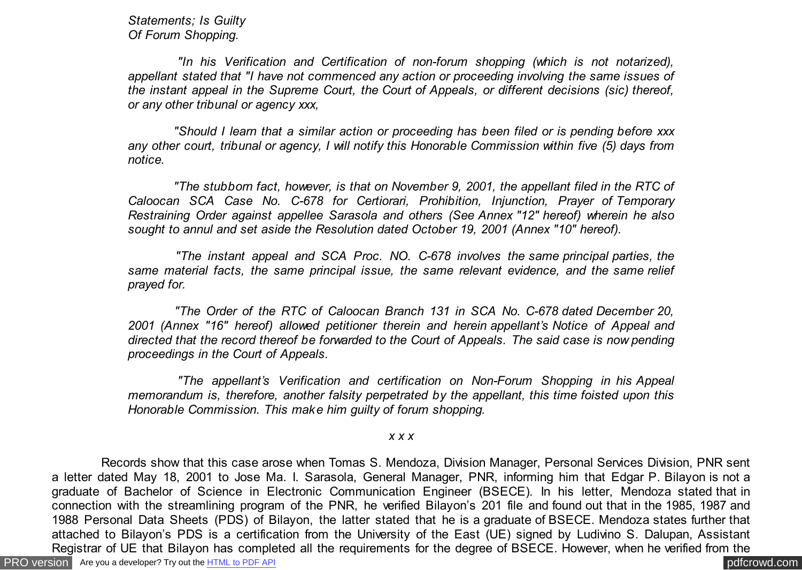*Statements; Is Guilty Of Forum Shopping.*

 *"In his Verification and Certification of non-forum shopping (which is not notarized), appellant stated that "I have not commenced any action or proceeding involving the same issues of the instant appeal in the Supreme Court, the Court of Appeals, or different decisions (sic) thereof, or any other tribunal or agency xxx,*

 *"Should I learn that a similar action or proceeding has been filed or is pending before xxx any other court, tribunal or agency, I will notify this Honorable Commission within five (5) days from notice.*

 *"The stubborn fact, however, is that on November 9, 2001, the appellant filed in the RTC of Caloocan SCA Case No. C-678 for Certiorari, Prohibition, Injunction, Prayer of Temporary Restraining Order against appellee Sarasola and others (See Annex "12" hereof) wherein he also sought to annul and set aside the Resolution dated October 19, 2001 (Annex "10" hereof).*

 *"The instant appeal and SCA Proc. NO. C-678 involves the same principal parties, the same material facts, the same principal issue, the same relevant evidence, and the same relief prayed for.*

 *"The Order of the RTC of Caloocan Branch 131 in SCA No. C-678 dated December 20, 2001 (Annex "16" hereof) allowed petitioner therein and herein appellant's Notice of Appeal and directed that the record thereof be forwarded to the Court of Appeals. The said case is now pending proceedings in the Court of Appeals.*

 *"The appellant's Verification and certification on Non-Forum Shopping in his Appeal memorandum is, therefore, another falsity perpetrated by the appellant, this time foisted upon this Honorable Commission. This make him guilty of forum shopping.*

*x x x*

[PRO version](http://pdfcrowd.com/customize/) Are you a developer? Try out th[e HTML to PDF API](http://pdfcrowd.com/html-to-pdf-api/?ref=pdf) process and the community of the HTML to PDF API posterior and the community of the community of the community of the community of the community of the community Records show that this case arose when Tomas S. Mendoza, Division Manager, Personal Services Division, PNR sent a letter dated May 18, 2001 to Jose Ma. I. Sarasola, General Manager, PNR, informing him that Edgar P. Bilayon is not a graduate of Bachelor of Science in Electronic Communication Engineer (BSECE). In his letter, Mendoza stated that in connection with the streamlining program of the PNR, he verified Bilayon's 201 file and found out that in the 1985, 1987 and 1988 Personal Data Sheets (PDS) of Bilayon, the latter stated that he is a graduate of BSECE. Mendoza states further that attached to Bilayon's PDS is a certification from the University of the East (UE) signed by Ludivino S. Dalupan, Assistant Registrar of UE that Bilayon has completed all the requirements for the degree of BSECE. However, when he verified from the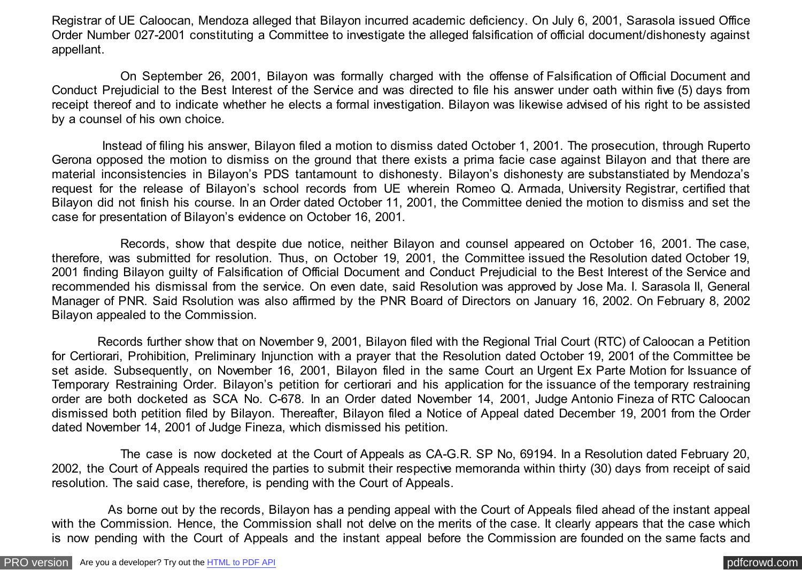Registrar of UE Caloocan, Mendoza alleged that Bilayon incurred academic deficiency. On July 6, 2001, Sarasola issued Office Order Number 027-2001 constituting a Committee to investigate the alleged falsification of official document/dishonesty against appellant.

 On September 26, 2001, Bilayon was formally charged with the offense of Falsification of Official Document and Conduct Prejudicial to the Best Interest of the Service and was directed to file his answer under oath within five (5) days from receipt thereof and to indicate whether he elects a formal investigation. Bilayon was likewise advised of his right to be assisted by a counsel of his own choice.

 Instead of filing his answer, Bilayon filed a motion to dismiss dated October 1, 2001. The prosecution, through Ruperto Gerona opposed the motion to dismiss on the ground that there exists a prima facie case against Bilayon and that there are material inconsistencies in Bilayon's PDS tantamount to dishonesty. Bilayon's dishonesty are substanstiated by Mendoza's request for the release of Bilayon's school records from UE wherein Romeo Q. Armada, University Registrar, certified that Bilayon did not finish his course. In an Order dated October 11, 2001, the Committee denied the motion to dismiss and set the case for presentation of Bilayon's evidence on October 16, 2001.

 Records, show that despite due notice, neither Bilayon and counsel appeared on October 16, 2001. The case, therefore, was submitted for resolution. Thus, on October 19, 2001, the Committee issued the Resolution dated October 19, 2001 finding Bilayon guilty of Falsification of Official Document and Conduct Prejudicial to the Best Interest of the Service and recommended his dismissal from the service. On even date, said Resolution was approved by Jose Ma. I. Sarasola II, General Manager of PNR. Said Rsolution was also affirmed by the PNR Board of Directors on January 16, 2002. On February 8, 2002 Bilayon appealed to the Commission.

 Records further show that on November 9, 2001, Bilayon filed with the Regional Trial Court (RTC) of Caloocan a Petition for Certiorari, Prohibition, Preliminary Injunction with a prayer that the Resolution dated October 19, 2001 of the Committee be set aside. Subsequently, on November 16, 2001, Bilayon filed in the same Court an Urgent Ex Parte Motion for Issuance of Temporary Restraining Order. Bilayon's petition for certiorari and his application for the issuance of the temporary restraining order are both docketed as SCA No. C-678. In an Order dated November 14, 2001, Judge Antonio Fineza of RTC Caloocan dismissed both petition filed by Bilayon. Thereafter, Bilayon filed a Notice of Appeal dated December 19, 2001 from the Order dated November 14, 2001 of Judge Fineza, which dismissed his petition.

 The case is now docketed at the Court of Appeals as CA-G.R. SP No, 69194. In a Resolution dated February 20, 2002, the Court of Appeals required the parties to submit their respective memoranda within thirty (30) days from receipt of said resolution. The said case, therefore, is pending with the Court of Appeals.

 As borne out by the records, Bilayon has a pending appeal with the Court of Appeals filed ahead of the instant appeal with the Commission. Hence, the Commission shall not delve on the merits of the case. It clearly appears that the case which is now pending with the Court of Appeals and the instant appeal before the Commission are founded on the same facts and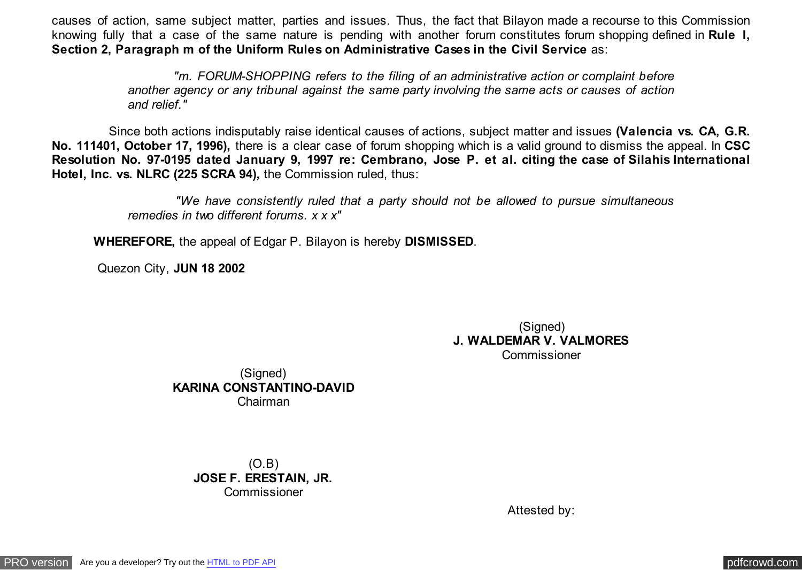causes of action, same subject matter, parties and issues. Thus, the fact that Bilayon made a recourse to this Commission knowing fully that a case of the same nature is pending with another forum constitutes forum shopping defined in **Rule I, Section 2, Paragraph m of the Uniform Rules on Administrative Cases in the Civil Service** as:

> *"m. FORUM-SHOPPING refers to the filing of an administrative action or complaint before another agency or any tribunal against the same party involving the same acts or causes of action and relief."*

 Since both actions indisputably raise identical causes of actions, subject matter and issues **(Valencia vs. CA, G.R. No. 111401, October 17, 1996),** there is a clear case of forum shopping which is a valid ground to dismiss the appeal. In **CSC Resolution No. 97-0195 dated January 9, 1997 re: Cembrano, Jose P. et al. citing the case of Silahis International Hotel, Inc. vs. NLRC (225 SCRA 94),** the Commission ruled, thus:

> *"We have consistently ruled that a party should not be allowed to pursue simultaneous remedies in two different forums. x x x"*

**WHEREFORE,** the appeal of Edgar P. Bilayon is hereby **DISMISSED**.

Quezon City, **JUN 18 2002**

(Signed) **J. WALDEMAR V. VALMORES** Commissioner

(Signed) **KARINA CONSTANTINO-DAVID** Chairman

> (O.B) **JOSE F. ERESTAIN, JR.** Commissioner

> > Attested by: